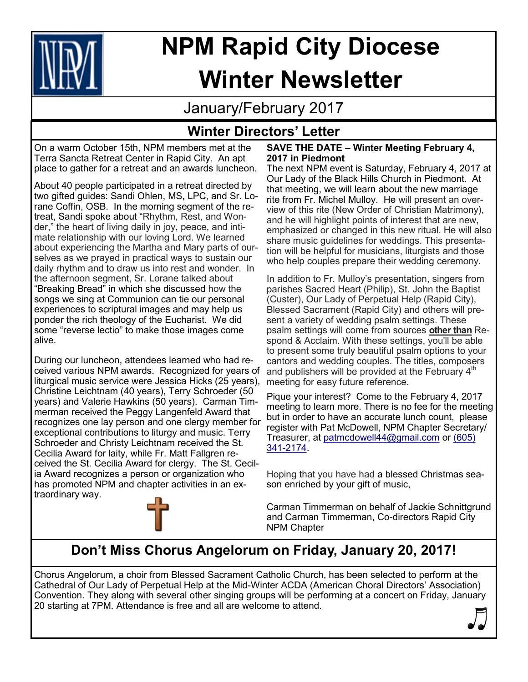

# **NPM Rapid City Diocese Winter Newsletter**

January/February 2017

# **Winter Directors' Letter**

On a warm October 15th, NPM members met at the Terra Sancta Retreat Center in Rapid City. An apt place to gather for a retreat and an awards luncheon.

About 40 people participated in a retreat directed by two gifted guides: Sandi Ohlen, MS, LPC, and Sr. Lorane Coffin, OSB. In the morning segment of the retreat, Sandi spoke about "Rhythm, Rest, and Wonder," the heart of living daily in joy, peace, and intimate relationship with our loving Lord. We learned about experiencing the Martha and Mary parts of ourselves as we prayed in practical ways to sustain our daily rhythm and to draw us into rest and wonder. In the afternoon segment, Sr. Lorane talked about "Breaking Bread" in which she discussed how the songs we sing at Communion can tie our personal experiences to scriptural images and may help us ponder the rich theology of the Eucharist. We did some "reverse lectio" to make those images come alive.

During our luncheon, attendees learned who had received various NPM awards. Recognized for years of liturgical music service were Jessica Hicks (25 years), Christine Leichtnam (40 years), Terry Schroeder (50 years) and Valerie Hawkins (50 years). Carman Timmerman received the Peggy Langenfeld Award that recognizes one lay person and one clergy member for exceptional contributions to liturgy and music. Terry Schroeder and Christy Leichtnam received the St. Cecilia Award for laity, while Fr. Matt Fallgren received the St. Cecilia Award for clergy. The St. Cecilia Award recognizes a person or organization who has promoted NPM and chapter activities in an extraordinary way.



#### **SAVE THE DATE – Winter Meeting February 4, 2017 in Piedmont**

The next NPM event is Saturday, February 4, 2017 at Our Lady of the Black Hills Church in Piedmont. At that meeting, we will learn about the new marriage rite from Fr. Michel Mulloy. He will present an overview of this rite (New Order of Christian Matrimony), and he will highlight points of interest that are new, emphasized or changed in this new ritual. He will also share music guidelines for weddings. This presentation will be helpful for musicians, liturgists and those who help couples prepare their wedding ceremony.

In addition to Fr. Mulloy's presentation, singers from parishes Sacred Heart (Philip), St. John the Baptist (Custer), Our Lady of Perpetual Help (Rapid City), Blessed Sacrament (Rapid City) and others will present a variety of wedding psalm settings. These psalm settings will come from sources **other than** Respond & Acclaim. With these settings, you'll be able to present some truly beautiful psalm options to your cantors and wedding couples. The titles, composers and publishers will be provided at the February  $4<sup>th</sup>$ meeting for easy future reference.

Pique your interest? Come to the February 4, 2017 meeting to learn more. There is no fee for the meeting but in order to have an accurate lunch count, please register with Pat McDowell, NPM Chapter Secretary/ Treasurer, at [patmcdowell44@gmail.com](mailto:patmcdowell44@gmail.com) or [\(605\)](tel:(605)%20341-2174)  341-[2174.](tel:(605)%20341-2174)

Hoping that you have had a blessed Christmas season enriched by your gift of music,

Carman Timmerman on behalf of Jackie Schnittgrund and Carman Timmerman, Co-directors Rapid City NPM Chapter

# **Don't Miss Chorus Angelorum on Friday, January 20, 2017!**

Chorus Angelorum, a choir from Blessed Sacrament Catholic Church, has been selected to perform at the Cathedral of Our Lady of Perpetual Help at the Mid-Winter ACDA (American Choral Directors' Association) Convention. They along with several other singing groups will be performing at a concert on Friday, January 20 starting at 7PM. Attendance is free and all are welcome to attend.

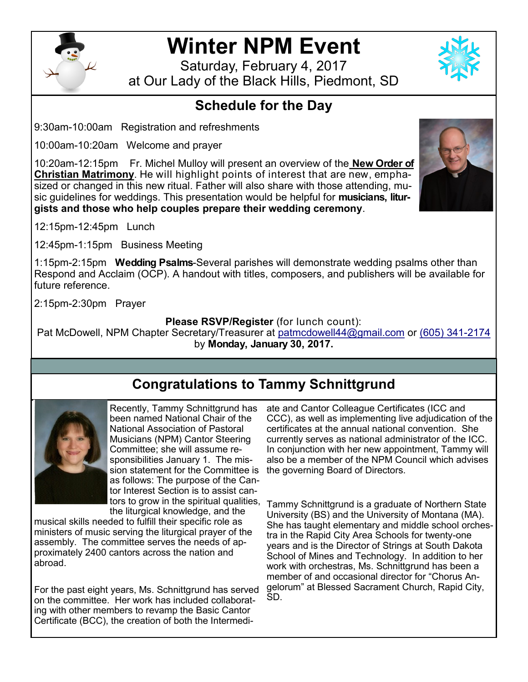

# **Winter NPM Event**

Saturday, February 4, 2017 at Our Lady of the Black Hills, Piedmont, SD

# **Schedule for the Day**

9:30am-10:00am Registration and refreshments

10:00am-10:20am Welcome and prayer

10:20am-12:15pm Fr. Michel Mulloy will present an overview of the **New Order of Christian Matrimony**. He will highlight points of interest that are new, emphasized or changed in this new ritual. Father will also share with those attending, music guidelines for weddings. This presentation would be helpful for **musicians, liturgists and those who help couples prepare their wedding ceremony**.



12:15pm-12:45pm Lunch

12:45pm-1:15pm Business Meeting

1:15pm-2:15pm **Wedding Psalms**-Several parishes will demonstrate wedding psalms other than Respond and Acclaim (OCP). A handout with titles, composers, and publishers will be available for future reference.

2:15pm-2:30pm Prayer

### **Please RSVP/Register** (for lunch count):

Pat McDowell, NPM Chapter Secretary/Treasurer at [patmcdowell44@gmail.com](mailto:patmcdowell44@gmail.com) or [\(605\) 341](tel:(605)%20341-2174)-2174 by **Monday, January 30, 2017.**

# **Congratulations to Tammy Schnittgrund**



Recently, Tammy Schnittgrund has been named National Chair of the National Association of Pastoral Musicians (NPM) Cantor Steering Committee; she will assume responsibilities January 1. The mission statement for the Committee is as follows: The purpose of the Cantor Interest Section is to assist cantors to grow in the spiritual qualities, the liturgical knowledge, and the

musical skills needed to fulfill their specific role as ministers of music serving the liturgical prayer of the assembly. The committee serves the needs of approximately 2400 cantors across the nation and abroad.

For the past eight years, Ms. Schnittgrund has served on the committee. Her work has included collaborating with other members to revamp the Basic Cantor Certificate (BCC), the creation of both the Intermedi-

ate and Cantor Colleague Certificates (ICC and CCC), as well as implementing live adjudication of the certificates at the annual national convention. She currently serves as national administrator of the ICC. In conjunction with her new appointment, Tammy will also be a member of the NPM Council which advises the governing Board of Directors.

Tammy Schnittgrund is a graduate of Northern State University (BS) and the University of Montana (MA). She has taught elementary and middle school orchestra in the Rapid City Area Schools for twenty-one years and is the Director of Strings at South Dakota School of Mines and Technology. In addition to her work with orchestras, Ms. Schnittgrund has been a member of and occasional director for "Chorus Angelorum" at Blessed Sacrament Church, Rapid City, SD.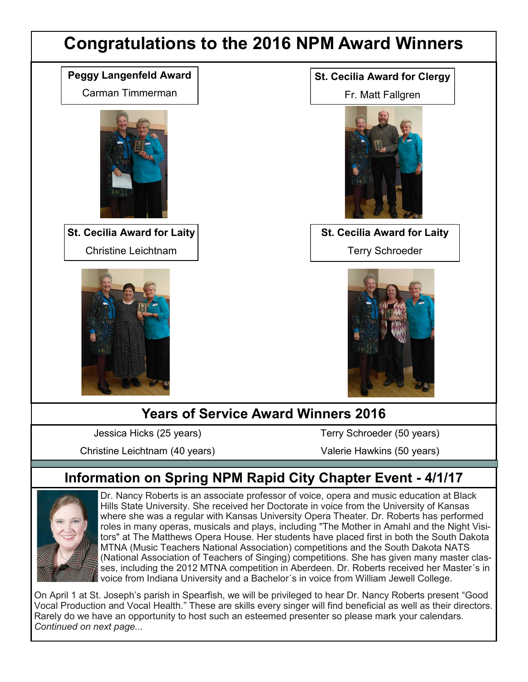# **Congratulations to the 2016 NPM Award Winners**

### **Peggy Langenfeld Award**

Carman Timmerman



**St. Cecilia Award for Laity** Christine Leichtnam



### **St. Cecilia Award for Clergy**

Fr. Matt Fallgren



**St. Cecilia Award for Laity** Terry Schroeder



# **Years of Service Award Winners 2016**

Jessica Hicks (25 years)

Christine Leichtnam (40 years)

Terry Schroeder (50 years)

Valerie Hawkins (50 years)

# **Information on Spring NPM Rapid City Chapter Event - 4/1/17**



Dr. Nancy Roberts is an associate professor of voice, opera and music education at Black Hills State University. She received her Doctorate in voice from the University of Kansas where she was a regular with Kansas University Opera Theater. Dr. Roberts has performed roles in many operas, musicals and plays, including "The Mother in Amahl and the Night Visitors" at The Matthews Opera House. Her students have placed first in both the South Dakota MTNA (Music Teachers National Association) competitions and the South Dakota NATS (National Association of Teachers of Singing) competitions. She has given many master classes, including the 2012 MTNA competition in Aberdeen. Dr. Roberts received her Master´s in voice from Indiana University and a Bachelor´s in voice from William Jewell College.

On April 1 at St. Joseph's parish in Spearfish, we will be privileged to hear Dr. Nancy Roberts present "Good Vocal Production and Vocal Health." These are skills every singer will find beneficial as well as their directors. Rarely do we have an opportunity to host such an esteemed presenter so please mark your calendars. *Continued on next page...*